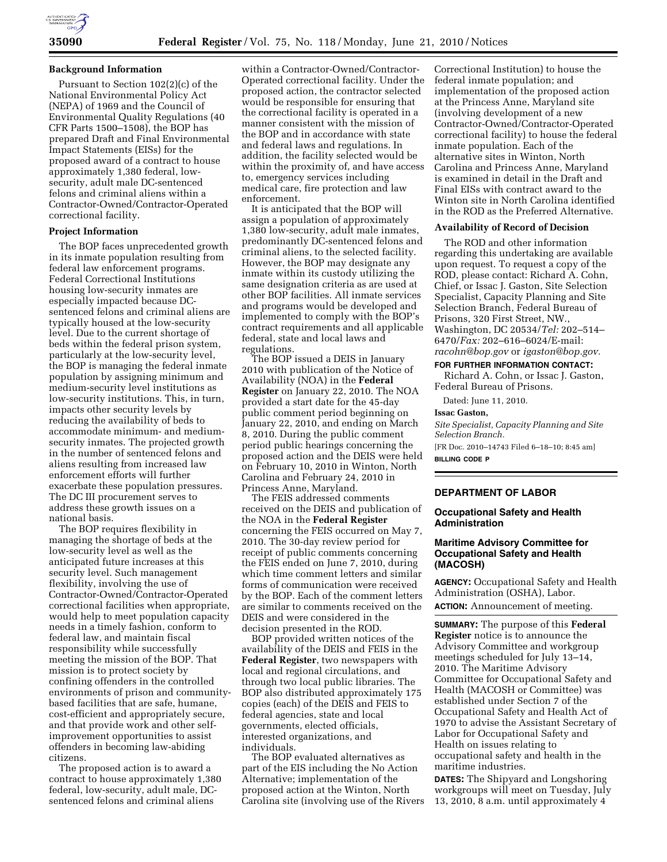#### **Background Information**

Pursuant to Section 102(2)(c) of the National Environmental Policy Act (NEPA) of 1969 and the Council of Environmental Quality Regulations (40 CFR Parts 1500–1508), the BOP has prepared Draft and Final Environmental Impact Statements (EISs) for the proposed award of a contract to house approximately 1,380 federal, lowsecurity, adult male DC-sentenced felons and criminal aliens within a Contractor-Owned/Contractor-Operated correctional facility.

### **Project Information**

The BOP faces unprecedented growth in its inmate population resulting from federal law enforcement programs. Federal Correctional Institutions housing low-security inmates are especially impacted because DCsentenced felons and criminal aliens are typically housed at the low-security level. Due to the current shortage of beds within the federal prison system, particularly at the low-security level, the BOP is managing the federal inmate population by assigning minimum and medium-security level institutions as low-security institutions. This, in turn, impacts other security levels by reducing the availability of beds to accommodate minimum- and mediumsecurity inmates. The projected growth in the number of sentenced felons and aliens resulting from increased law enforcement efforts will further exacerbate these population pressures. The DC III procurement serves to address these growth issues on a national basis.

The BOP requires flexibility in managing the shortage of beds at the low-security level as well as the anticipated future increases at this security level. Such management flexibility, involving the use of Contractor-Owned/Contractor-Operated correctional facilities when appropriate, would help to meet population capacity needs in a timely fashion, conform to federal law, and maintain fiscal responsibility while successfully meeting the mission of the BOP. That mission is to protect society by confining offenders in the controlled environments of prison and communitybased facilities that are safe, humane, cost-efficient and appropriately secure, and that provide work and other selfimprovement opportunities to assist offenders in becoming law-abiding citizens.

The proposed action is to award a contract to house approximately 1,380 federal, low-security, adult male, DCsentenced felons and criminal aliens

within a Contractor-Owned/Contractor-Operated correctional facility. Under the proposed action, the contractor selected would be responsible for ensuring that the correctional facility is operated in a manner consistent with the mission of the BOP and in accordance with state and federal laws and regulations. In addition, the facility selected would be within the proximity of, and have access to, emergency services including medical care, fire protection and law enforcement.

It is anticipated that the BOP will assign a population of approximately 1,380 low-security, adult male inmates, predominantly DC-sentenced felons and criminal aliens, to the selected facility. However, the BOP may designate any inmate within its custody utilizing the same designation criteria as are used at other BOP facilities. All inmate services and programs would be developed and implemented to comply with the BOP's contract requirements and all applicable federal, state and local laws and regulations.

The BOP issued a DEIS in January 2010 with publication of the Notice of Availability (NOA) in the **Federal Register** on January 22, 2010. The NOA provided a start date for the 45-day public comment period beginning on January 22, 2010, and ending on March 8, 2010. During the public comment period public hearings concerning the proposed action and the DEIS were held on February 10, 2010 in Winton, North Carolina and February 24, 2010 in Princess Anne, Maryland.

The FEIS addressed comments received on the DEIS and publication of the NOA in the **Federal Register**  concerning the FEIS occurred on May 7, 2010. The 30-day review period for receipt of public comments concerning the FEIS ended on June 7, 2010, during which time comment letters and similar forms of communication were received by the BOP. Each of the comment letters are similar to comments received on the DEIS and were considered in the decision presented in the ROD.

BOP provided written notices of the availability of the DEIS and FEIS in the **Federal Register**, two newspapers with local and regional circulations, and through two local public libraries. The BOP also distributed approximately 175 copies (each) of the DEIS and FEIS to federal agencies, state and local governments, elected officials, interested organizations, and individuals.

The BOP evaluated alternatives as part of the EIS including the No Action Alternative; implementation of the proposed action at the Winton, North Carolina site (involving use of the Rivers

Correctional Institution) to house the federal inmate population; and implementation of the proposed action at the Princess Anne, Maryland site (involving development of a new Contractor-Owned/Contractor-Operated correctional facility) to house the federal inmate population. Each of the alternative sites in Winton, North Carolina and Princess Anne, Maryland is examined in detail in the Draft and Final EISs with contract award to the Winton site in North Carolina identified in the ROD as the Preferred Alternative.

### **Availability of Record of Decision**

The ROD and other information regarding this undertaking are available upon request. To request a copy of the ROD, please contact: Richard A. Cohn, Chief, or Issac J. Gaston, Site Selection Specialist, Capacity Planning and Site Selection Branch, Federal Bureau of Prisons, 320 First Street, NW., Washington, DC 20534/*Tel:* 202–514– 6470/*Fax:* 202–616–6024/E-mail: *racohn@bop.gov* or *igaston@bop.gov.* 

## **FOR FURTHER INFORMATION CONTACT:**

Richard A. Cohn, or Issac J. Gaston, Federal Bureau of Prisons.

Dated: June 11, 2010.

#### **Issac Gaston,**

*Site Specialist, Capacity Planning and Site Selection Branch.* 

[FR Doc. 2010–14743 Filed 6–18–10; 8:45 am] **BILLING CODE P** 

# **DEPARTMENT OF LABOR**

### **Occupational Safety and Health Administration**

## **Maritime Advisory Committee for Occupational Safety and Health (MACOSH)**

**AGENCY:** Occupational Safety and Health Administration (OSHA), Labor. **ACTION:** Announcement of meeting.

**SUMMARY:** The purpose of this **Federal Register** notice is to announce the Advisory Committee and workgroup meetings scheduled for July 13–14, 2010. The Maritime Advisory Committee for Occupational Safety and Health (MACOSH or Committee) was established under Section 7 of the Occupational Safety and Health Act of 1970 to advise the Assistant Secretary of Labor for Occupational Safety and Health on issues relating to occupational safety and health in the maritime industries.

**DATES:** The Shipyard and Longshoring workgroups will meet on Tuesday, July 13, 2010, 8 a.m. until approximately 4